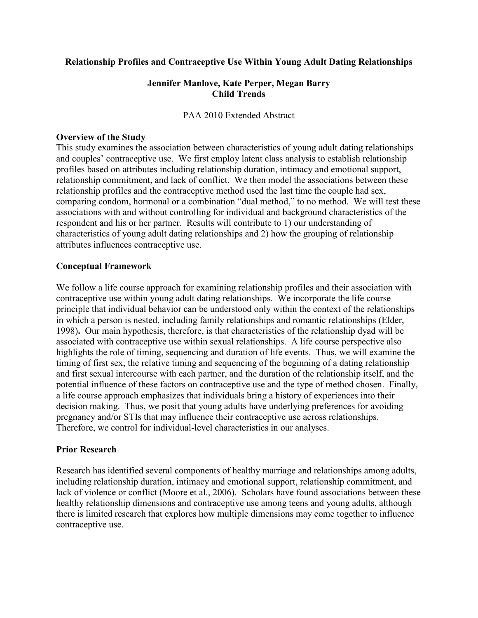## Relationship Profiles and Contraceptive Use Within Young Adult Dating Relationships

## Jennifer Manlove, Kate Perper, Megan Barry Child Trends

#### PAA 2010 Extended Abstract

## Overview of the Study

This study examines the association between characteristics of young adult dating relationships and couples' contraceptive use. We first employ latent class analysis to establish relationship profiles based on attributes including relationship duration, intimacy and emotional support, relationship commitment, and lack of conflict. We then model the associations between these relationship profiles and the contraceptive method used the last time the couple had sex, comparing condom, hormonal or a combination "dual method," to no method. We will test these associations with and without controlling for individual and background characteristics of the respondent and his or her partner. Results will contribute to 1) our understanding of characteristics of young adult dating relationships and 2) how the grouping of relationship attributes influences contraceptive use.

## Conceptual Framework

We follow a life course approach for examining relationship profiles and their association with contraceptive use within young adult dating relationships. We incorporate the life course principle that individual behavior can be understood only within the context of the relationships in which a person is nested, including family relationships and romantic relationships (Elder, 1998). Our main hypothesis, therefore, is that characteristics of the relationship dyad will be associated with contraceptive use within sexual relationships. A life course perspective also highlights the role of timing, sequencing and duration of life events. Thus, we will examine the timing of first sex, the relative timing and sequencing of the beginning of a dating relationship and first sexual intercourse with each partner, and the duration of the relationship itself, and the potential influence of these factors on contraceptive use and the type of method chosen. Finally, a life course approach emphasizes that individuals bring a history of experiences into their decision making. Thus, we posit that young adults have underlying preferences for avoiding pregnancy and/or STIs that may influence their contraceptive use across relationships. Therefore, we control for individual-level characteristics in our analyses.

#### Prior Research

Research has identified several components of healthy marriage and relationships among adults, including relationship duration, intimacy and emotional support, relationship commitment, and lack of violence or conflict (Moore et al., 2006). Scholars have found associations between these healthy relationship dimensions and contraceptive use among teens and young adults, although there is limited research that explores how multiple dimensions may come together to influence contraceptive use.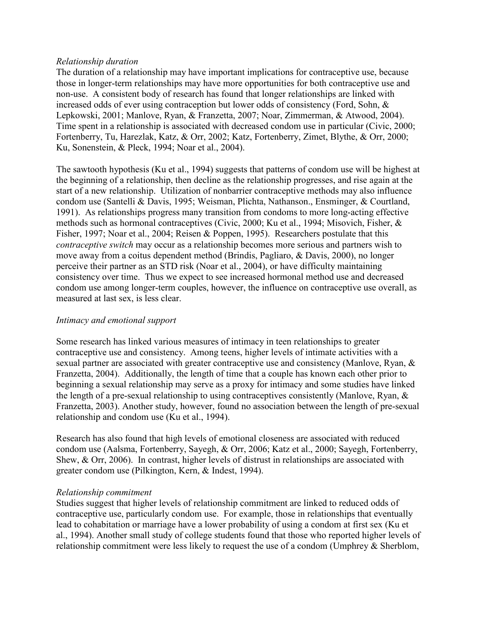## Relationship duration

The duration of a relationship may have important implications for contraceptive use, because those in longer-term relationships may have more opportunities for both contraceptive use and non-use. A consistent body of research has found that longer relationships are linked with increased odds of ever using contraception but lower odds of consistency (Ford, Sohn, & Lepkowski, 2001; Manlove, Ryan, & Franzetta, 2007; Noar, Zimmerman, & Atwood, 2004). Time spent in a relationship is associated with decreased condom use in particular (Civic, 2000; Fortenberry, Tu, Harezlak, Katz, & Orr, 2002; Katz, Fortenberry, Zimet, Blythe, & Orr, 2000; Ku, Sonenstein, & Pleck, 1994; Noar et al., 2004).

The sawtooth hypothesis (Ku et al., 1994) suggests that patterns of condom use will be highest at the beginning of a relationship, then decline as the relationship progresses, and rise again at the start of a new relationship. Utilization of nonbarrier contraceptive methods may also influence condom use (Santelli & Davis, 1995; Weisman, Plichta, Nathanson., Ensminger, & Courtland, 1991). As relationships progress many transition from condoms to more long-acting effective methods such as hormonal contraceptives (Civic, 2000; Ku et al., 1994; Misovich, Fisher, & Fisher, 1997; Noar et al., 2004; Reisen & Poppen, 1995). Researchers postulate that this contraceptive switch may occur as a relationship becomes more serious and partners wish to move away from a coitus dependent method (Brindis, Pagliaro, & Davis, 2000), no longer perceive their partner as an STD risk (Noar et al., 2004), or have difficulty maintaining consistency over time. Thus we expect to see increased hormonal method use and decreased condom use among longer-term couples, however, the influence on contraceptive use overall, as measured at last sex, is less clear.

# Intimacy and emotional support

Some research has linked various measures of intimacy in teen relationships to greater contraceptive use and consistency. Among teens, higher levels of intimate activities with a sexual partner are associated with greater contraceptive use and consistency (Manlove, Ryan, & Franzetta, 2004). Additionally, the length of time that a couple has known each other prior to beginning a sexual relationship may serve as a proxy for intimacy and some studies have linked the length of a pre-sexual relationship to using contraceptives consistently (Manlove, Ryan, & Franzetta, 2003). Another study, however, found no association between the length of pre-sexual relationship and condom use (Ku et al., 1994).

Research has also found that high levels of emotional closeness are associated with reduced condom use (Aalsma, Fortenberry, Sayegh, & Orr, 2006; Katz et al., 2000; Sayegh, Fortenberry, Shew, & Orr, 2006). In contrast, higher levels of distrust in relationships are associated with greater condom use (Pilkington, Kern, & Indest, 1994).

#### Relationship commitment

Studies suggest that higher levels of relationship commitment are linked to reduced odds of contraceptive use, particularly condom use. For example, those in relationships that eventually lead to cohabitation or marriage have a lower probability of using a condom at first sex (Ku et al., 1994). Another small study of college students found that those who reported higher levels of relationship commitment were less likely to request the use of a condom (Umphrey & Sherblom,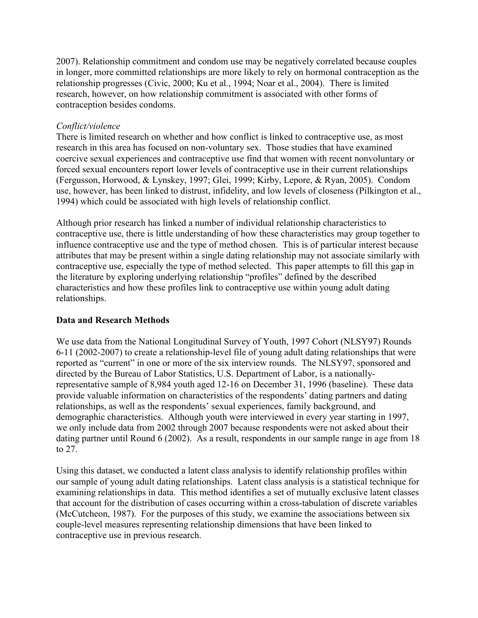2007). Relationship commitment and condom use may be negatively correlated because couples in longer, more committed relationships are more likely to rely on hormonal contraception as the relationship progresses (Civic, 2000; Ku et al., 1994; Noar et al., 2004). There is limited research, however, on how relationship commitment is associated with other forms of contraception besides condoms.

## Conflict/violence

There is limited research on whether and how conflict is linked to contraceptive use, as most research in this area has focused on non-voluntary sex. Those studies that have examined coercive sexual experiences and contraceptive use find that women with recent nonvoluntary or forced sexual encounters report lower levels of contraceptive use in their current relationships (Fergusson, Horwood, & Lynskey, 1997; Glei, 1999; Kirby, Lepore, & Ryan, 2005). Condom use, however, has been linked to distrust, infidelity, and low levels of closeness (Pilkington et al., 1994) which could be associated with high levels of relationship conflict.

Although prior research has linked a number of individual relationship characteristics to contraceptive use, there is little understanding of how these characteristics may group together to influence contraceptive use and the type of method chosen. This is of particular interest because attributes that may be present within a single dating relationship may not associate similarly with contraceptive use, especially the type of method selected. This paper attempts to fill this gap in the literature by exploring underlying relationship "profiles" defined by the described characteristics and how these profiles link to contraceptive use within young adult dating relationships.

# Data and Research Methods

We use data from the National Longitudinal Survey of Youth, 1997 Cohort (NLSY97) Rounds 6-11 (2002-2007) to create a relationship-level file of young adult dating relationships that were reported as "current" in one or more of the six interview rounds. The NLSY97, sponsored and directed by the Bureau of Labor Statistics, U.S. Department of Labor, is a nationallyrepresentative sample of 8,984 youth aged 12-16 on December 31, 1996 (baseline). These data provide valuable information on characteristics of the respondents' dating partners and dating relationships, as well as the respondents' sexual experiences, family background, and demographic characteristics. Although youth were interviewed in every year starting in 1997, we only include data from 2002 through 2007 because respondents were not asked about their dating partner until Round 6 (2002). As a result, respondents in our sample range in age from 18 to 27.

Using this dataset, we conducted a latent class analysis to identify relationship profiles within our sample of young adult dating relationships. Latent class analysis is a statistical technique for examining relationships in data. This method identifies a set of mutually exclusive latent classes that account for the distribution of cases occurring within a cross-tabulation of discrete variables (McCutcheon, 1987). For the purposes of this study, we examine the associations between six couple-level measures representing relationship dimensions that have been linked to contraceptive use in previous research.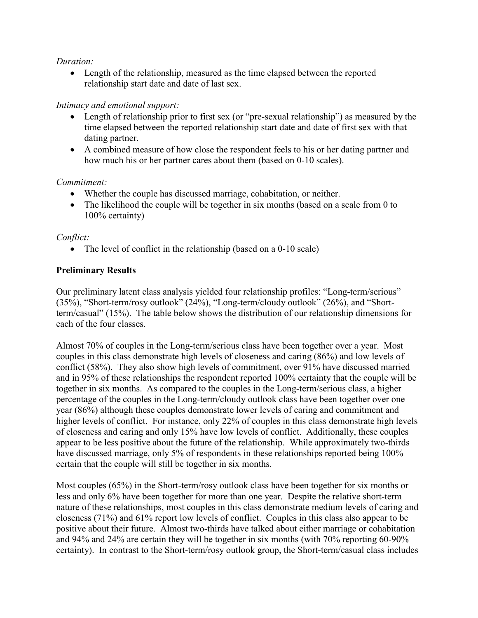## Duration:

• Length of the relationship, measured as the time elapsed between the reported relationship start date and date of last sex.

## Intimacy and emotional support:

- Length of relationship prior to first sex (or "pre-sexual relationship") as measured by the time elapsed between the reported relationship start date and date of first sex with that dating partner.
- A combined measure of how close the respondent feels to his or her dating partner and how much his or her partner cares about them (based on 0-10 scales).

## Commitment:

- Whether the couple has discussed marriage, cohabitation, or neither.
- The likelihood the couple will be together in six months (based on a scale from 0 to 100% certainty)

## Conflict:

• The level of conflict in the relationship (based on a 0-10 scale)

# Preliminary Results

Our preliminary latent class analysis yielded four relationship profiles: "Long-term/serious" (35%), "Short-term/rosy outlook" (24%), "Long-term/cloudy outlook" (26%), and "Shortterm/casual" (15%). The table below shows the distribution of our relationship dimensions for each of the four classes.

Almost 70% of couples in the Long-term/serious class have been together over a year. Most couples in this class demonstrate high levels of closeness and caring (86%) and low levels of conflict (58%). They also show high levels of commitment, over 91% have discussed married and in 95% of these relationships the respondent reported 100% certainty that the couple will be together in six months. As compared to the couples in the Long-term/serious class, a higher percentage of the couples in the Long-term/cloudy outlook class have been together over one year (86%) although these couples demonstrate lower levels of caring and commitment and higher levels of conflict. For instance, only 22% of couples in this class demonstrate high levels of closeness and caring and only 15% have low levels of conflict. Additionally, these couples appear to be less positive about the future of the relationship. While approximately two-thirds have discussed marriage, only 5% of respondents in these relationships reported being 100% certain that the couple will still be together in six months.

Most couples (65%) in the Short-term/rosy outlook class have been together for six months or less and only 6% have been together for more than one year. Despite the relative short-term nature of these relationships, most couples in this class demonstrate medium levels of caring and closeness (71%) and 61% report low levels of conflict. Couples in this class also appear to be positive about their future. Almost two-thirds have talked about either marriage or cohabitation and 94% and 24% are certain they will be together in six months (with 70% reporting 60-90% certainty). In contrast to the Short-term/rosy outlook group, the Short-term/casual class includes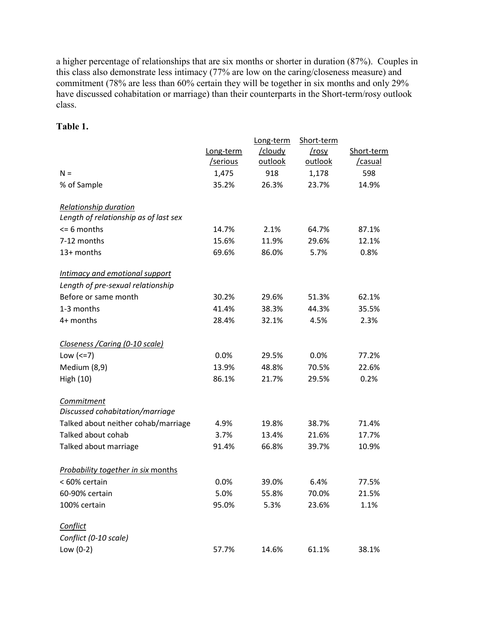a higher percentage of relationships that are six months or shorter in duration (87%). Couples in this class also demonstrate less intimacy (77% are low on the caring/closeness measure) and commitment (78% are less than 60% certain they will be together in six months and only 29% have discussed cohabitation or marriage) than their counterparts in the Short-term/rosy outlook class.

# Table 1.

|                                           |           | Long-term | Short-term |            |
|-------------------------------------------|-----------|-----------|------------|------------|
|                                           | Long-term | /cloudy   | /rosy      | Short-term |
|                                           | /serious  | outlook   | outlook    | /casual    |
| $N =$                                     | 1,475     | 918       | 1,178      | 598        |
| % of Sample                               | 35.2%     | 26.3%     | 23.7%      | 14.9%      |
| <b>Relationship duration</b>              |           |           |            |            |
| Length of relationship as of last sex     |           |           |            |            |
| $<$ = 6 months                            | 14.7%     | 2.1%      | 64.7%      | 87.1%      |
| 7-12 months                               | 15.6%     | 11.9%     | 29.6%      | 12.1%      |
| 13+ months                                | 69.6%     | 86.0%     | 5.7%       | 0.8%       |
| Intimacy and emotional support            |           |           |            |            |
| Length of pre-sexual relationship         |           |           |            |            |
| Before or same month                      | 30.2%     | 29.6%     | 51.3%      | 62.1%      |
| 1-3 months                                | 41.4%     | 38.3%     | 44.3%      | 35.5%      |
| 4+ months                                 | 28.4%     | 32.1%     | 4.5%       | 2.3%       |
| Closeness / Caring (0-10 scale)           |           |           |            |            |
| Low $(<=7)$                               | 0.0%      | 29.5%     | 0.0%       | 77.2%      |
| Medium (8,9)                              | 13.9%     | 48.8%     | 70.5%      | 22.6%      |
| High (10)                                 | 86.1%     | 21.7%     | 29.5%      | 0.2%       |
| Commitment                                |           |           |            |            |
| Discussed cohabitation/marriage           |           |           |            |            |
| Talked about neither cohab/marriage       | 4.9%      | 19.8%     | 38.7%      | 71.4%      |
| Talked about cohab                        | 3.7%      | 13.4%     | 21.6%      | 17.7%      |
| Talked about marriage                     | 91.4%     | 66.8%     | 39.7%      | 10.9%      |
| <b>Probability together in six months</b> |           |           |            |            |
| < 60% certain                             | 0.0%      | 39.0%     | 6.4%       | 77.5%      |
| 60-90% certain                            | 5.0%      | 55.8%     | 70.0%      | 21.5%      |
| 100% certain                              | 95.0%     | 5.3%      | 23.6%      | 1.1%       |
| Conflict                                  |           |           |            |            |
| Conflict (0-10 scale)                     |           |           |            |            |
| Low $(0-2)$                               | 57.7%     | 14.6%     | 61.1%      | 38.1%      |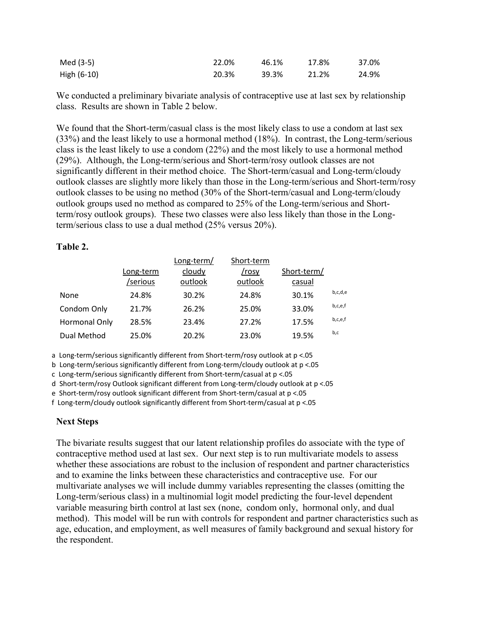| Med (3-5)   | 22.0% | 46.1% | 17.8% | 37.0% |
|-------------|-------|-------|-------|-------|
| High (6-10) | 20.3% | 39.3% | 21.2% | 24.9% |

We conducted a preliminary bivariate analysis of contraceptive use at last sex by relationship class. Results are shown in Table 2 below.

We found that the Short-term/casual class is the most likely class to use a condom at last sex (33%) and the least likely to use a hormonal method (18%). In contrast, the Long-term/serious class is the least likely to use a condom (22%) and the most likely to use a hormonal method (29%). Although, the Long-term/serious and Short-term/rosy outlook classes are not significantly different in their method choice. The Short-term/casual and Long-term/cloudy outlook classes are slightly more likely than those in the Long-term/serious and Short-term/rosy outlook classes to be using no method (30% of the Short-term/casual and Long-term/cloudy outlook groups used no method as compared to 25% of the Long-term/serious and Shortterm/rosy outlook groups). These two classes were also less likely than those in the Longterm/serious class to use a dual method (25% versus 20%).

#### Table 2.

|                      |           | Long-term/ | Short-term |             |         |
|----------------------|-----------|------------|------------|-------------|---------|
|                      | Long-term | cloudy     | /rosy      | Short-term/ |         |
|                      | /serious  | outlook    | outlook    | casual      |         |
| None                 | 24.8%     | 30.2%      | 24.8%      | 30.1%       | b,c,d,e |
| Condom Only          | 21.7%     | 26.2%      | 25.0%      | 33.0%       | b,c,e,f |
| <b>Hormonal Only</b> | 28.5%     | 23.4%      | 27.2%      | 17.5%       | b,c,e,f |
| Dual Method          | 25.0%     | 20.2%      | 23.0%      | 19.5%       | b,c     |

a Long-term/serious significantly different from Short-term/rosy outlook at p <.05

b Long-term/serious significantly different from Long-term/cloudy outlook at p <.05

c Long-term/serious significantly different from Short-term/casual at p <.05

d Short-term/rosy Outlook significant different from Long-term/cloudy outlook at p <.05

e Short-term/rosy outlook significant different from Short-term/casual at p <.05

f Long-term/cloudy outlook significantly different from Short-term/casual at p <.05

#### Next Steps

The bivariate results suggest that our latent relationship profiles do associate with the type of contraceptive method used at last sex. Our next step is to run multivariate models to assess whether these associations are robust to the inclusion of respondent and partner characteristics and to examine the links between these characteristics and contraceptive use. For our multivariate analyses we will include dummy variables representing the classes (omitting the Long-term/serious class) in a multinomial logit model predicting the four-level dependent variable measuring birth control at last sex (none, condom only, hormonal only, and dual method). This model will be run with controls for respondent and partner characteristics such as age, education, and employment, as well measures of family background and sexual history for the respondent.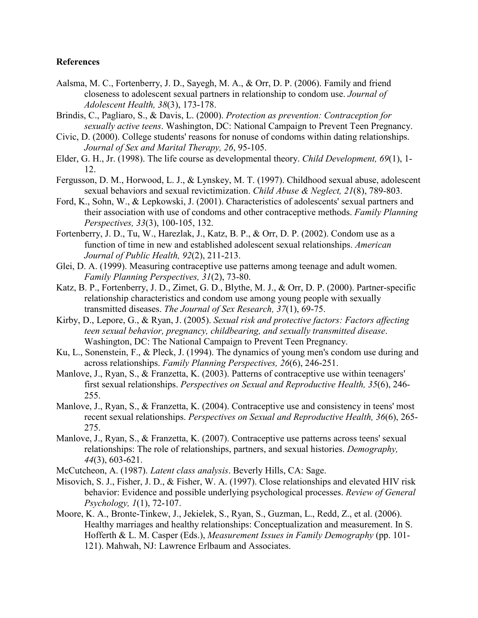#### **References**

- Aalsma, M. C., Fortenberry, J. D., Sayegh, M. A., & Orr, D. P. (2006). Family and friend closeness to adolescent sexual partners in relationship to condom use. Journal of Adolescent Health, 38(3), 173-178.
- Brindis, C., Pagliaro, S., & Davis, L. (2000). Protection as prevention: Contraception for sexually active teens. Washington, DC: National Campaign to Prevent Teen Pregnancy.
- Civic, D. (2000). College students' reasons for nonuse of condoms within dating relationships. Journal of Sex and Marital Therapy, 26, 95-105.
- Elder, G. H., Jr. (1998). The life course as developmental theory. Child Development, 69(1), 1- 12.
- Fergusson, D. M., Horwood, L. J., & Lynskey, M. T. (1997). Childhood sexual abuse, adolescent sexual behaviors and sexual revictimization. Child Abuse & Neglect, 21(8), 789-803.
- Ford, K., Sohn, W., & Lepkowski, J. (2001). Characteristics of adolescents' sexual partners and their association with use of condoms and other contraceptive methods. Family Planning Perspectives, 33(3), 100-105, 132.
- Fortenberry, J. D., Tu, W., Harezlak, J., Katz, B. P., & Orr, D. P. (2002). Condom use as a function of time in new and established adolescent sexual relationships. American Journal of Public Health, 92(2), 211-213.
- Glei, D. A. (1999). Measuring contraceptive use patterns among teenage and adult women. Family Planning Perspectives, 31(2), 73-80.
- Katz, B. P., Fortenberry, J. D., Zimet, G. D., Blythe, M. J., & Orr, D. P. (2000). Partner-specific relationship characteristics and condom use among young people with sexually transmitted diseases. The Journal of Sex Research, 37(1), 69-75.
- Kirby, D., Lepore, G., & Ryan, J. (2005). Sexual risk and protective factors: Factors affecting teen sexual behavior, pregnancy, childbearing, and sexually transmitted disease. Washington, DC: The National Campaign to Prevent Teen Pregnancy.
- Ku, L., Sonenstein, F., & Pleck, J. (1994). The dynamics of young men's condom use during and across relationships. Family Planning Perspectives, 26(6), 246-251.
- Manlove, J., Ryan, S., & Franzetta, K. (2003). Patterns of contraceptive use within teenagers' first sexual relationships. Perspectives on Sexual and Reproductive Health, 35(6), 246- 255.
- Manlove, J., Ryan, S., & Franzetta, K. (2004). Contraceptive use and consistency in teens' most recent sexual relationships. Perspectives on Sexual and Reproductive Health, 36(6), 265-275.
- Manlove, J., Ryan, S., & Franzetta, K. (2007). Contraceptive use patterns across teens' sexual relationships: The role of relationships, partners, and sexual histories. *Demography*, 44(3), 603-621.
- McCutcheon, A. (1987). Latent class analysis. Beverly Hills, CA: Sage.
- Misovich, S. J., Fisher, J. D., & Fisher, W. A. (1997). Close relationships and elevated HIV risk behavior: Evidence and possible underlying psychological processes. Review of General Psychology, 1(1), 72-107.
- Moore, K. A., Bronte-Tinkew, J., Jekielek, S., Ryan, S., Guzman, L., Redd, Z., et al. (2006). Healthy marriages and healthy relationships: Conceptualization and measurement. In S. Hofferth & L. M. Casper (Eds.), Measurement Issues in Family Demography (pp. 101- 121). Mahwah, NJ: Lawrence Erlbaum and Associates.